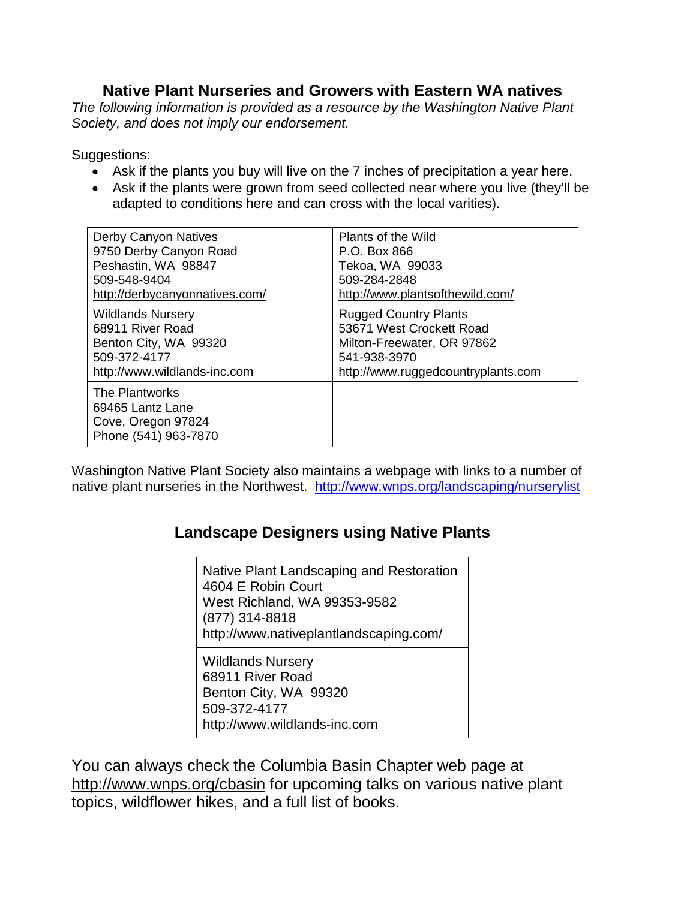## **Native Plant Nurseries and Growers with Eastern WA natives**

*The following information is provided as a resource by the Washington Native Plant Society, and does not imply our endorsement.* 

Suggestions:

- Ask if the plants you buy will live on the 7 inches of precipitation a year here.
- Ask if the plants were grown from seed collected near where you live (they'll be adapted to conditions here and can cross with the local varities).

| Derby Canyon Natives                                                             | Plants of the Wild                 |
|----------------------------------------------------------------------------------|------------------------------------|
| 9750 Derby Canyon Road                                                           | P.O. Box 866                       |
| Peshastin, WA 98847                                                              | Tekoa, WA 99033                    |
| 509-548-9404                                                                     | 509-284-2848                       |
| http://derbycanyonnatives.com/                                                   | http://www.plantsofthewild.com/    |
| <b>Wildlands Nursery</b>                                                         | <b>Rugged Country Plants</b>       |
| 68911 River Road                                                                 | 53671 West Crockett Road           |
| Benton City, WA 99320                                                            | Milton-Freewater, OR 97862         |
| 509-372-4177                                                                     | 541-938-3970                       |
| http://www.wildlands-inc.com                                                     | http://www.ruggedcountryplants.com |
| The Plantworks<br>69465 Lantz Lane<br>Cove, Oregon 97824<br>Phone (541) 963-7870 |                                    |

Washington Native Plant Society also maintains a webpage with links to a number of native plant nurseries in the Northwest. <http://www.wnps.org/landscaping/nurserylist>

## **Landscape Designers using Native Plants**

Native Plant Landscaping and Restoration 4604 E Robin Court West Richland, WA 99353-9582 (877) 314-8818 http://www.nativeplantlandscaping.com/

Wildlands Nursery 68911 River Road Benton City, WA 99320 509-372-4177 [http://www.wildlands-inc.com](http://www.wildlands-inc.com/)

You can always check the Columbia Basin Chapter web page at <http://www.wnps.org/cbasin> for upcoming talks on various native plant topics, wildflower hikes, and a full list of books.